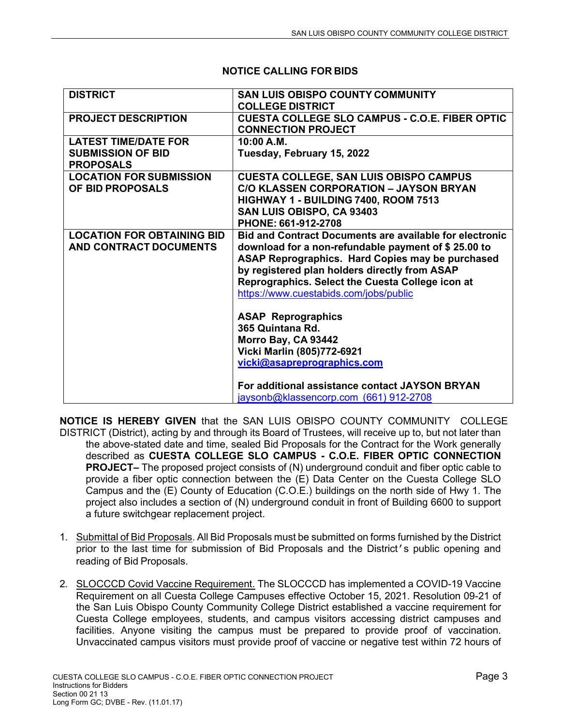| <b>COLLEGE DISTRICT</b><br><b>CUESTA COLLEGE SLO CAMPUS - C.O.E. FIBER OPTIC</b><br><b>PROJECT DESCRIPTION</b><br><b>CONNECTION PROJECT</b><br><b>LATEST TIME/DATE FOR</b><br>10:00 A.M.<br><b>SUBMISSION OF BID</b><br>Tuesday, February 15, 2022<br><b>PROPOSALS</b><br><b>LOCATION FOR SUBMISSION</b><br><b>CUESTA COLLEGE, SAN LUIS OBISPO CAMPUS</b><br><b>C/O KLASSEN CORPORATION - JAYSON BRYAN</b><br>OF BID PROPOSALS<br>HIGHWAY 1 - BUILDING 7400, ROOM 7513<br>SAN LUIS OBISPO, CA 93403<br>PHONE: 661-912-2708<br><b>LOCATION FOR OBTAINING BID</b><br><b>Bid and Contract Documents are available for electronic</b><br>AND CONTRACT DOCUMENTS<br>download for a non-refundable payment of \$25.00 to<br>ASAP Reprographics. Hard Copies may be purchased<br>by registered plan holders directly from ASAP<br>Reprographics. Select the Cuesta College icon at<br>https://www.cuestabids.com/jobs/public<br><b>ASAP Reprographics</b><br>365 Quintana Rd.<br>Morro Bay, CA 93442<br>Vicki Marlin (805)772-6921<br>vicki@asapreprographics.com<br>For additional assistance contact JAYSON BRYAN<br>jaysonb@klassencorp.com (661) 912-2708 |                 |                                         |
|--------------------------------------------------------------------------------------------------------------------------------------------------------------------------------------------------------------------------------------------------------------------------------------------------------------------------------------------------------------------------------------------------------------------------------------------------------------------------------------------------------------------------------------------------------------------------------------------------------------------------------------------------------------------------------------------------------------------------------------------------------------------------------------------------------------------------------------------------------------------------------------------------------------------------------------------------------------------------------------------------------------------------------------------------------------------------------------------------------------------------------------------------------|-----------------|-----------------------------------------|
|                                                                                                                                                                                                                                                                                                                                                                                                                                                                                                                                                                                                                                                                                                                                                                                                                                                                                                                                                                                                                                                                                                                                                        | <b>DISTRICT</b> | <b>SAN LUIS OBISPO COUNTY COMMUNITY</b> |
|                                                                                                                                                                                                                                                                                                                                                                                                                                                                                                                                                                                                                                                                                                                                                                                                                                                                                                                                                                                                                                                                                                                                                        |                 |                                         |
|                                                                                                                                                                                                                                                                                                                                                                                                                                                                                                                                                                                                                                                                                                                                                                                                                                                                                                                                                                                                                                                                                                                                                        |                 |                                         |
|                                                                                                                                                                                                                                                                                                                                                                                                                                                                                                                                                                                                                                                                                                                                                                                                                                                                                                                                                                                                                                                                                                                                                        |                 |                                         |
|                                                                                                                                                                                                                                                                                                                                                                                                                                                                                                                                                                                                                                                                                                                                                                                                                                                                                                                                                                                                                                                                                                                                                        |                 |                                         |
|                                                                                                                                                                                                                                                                                                                                                                                                                                                                                                                                                                                                                                                                                                                                                                                                                                                                                                                                                                                                                                                                                                                                                        |                 |                                         |
|                                                                                                                                                                                                                                                                                                                                                                                                                                                                                                                                                                                                                                                                                                                                                                                                                                                                                                                                                                                                                                                                                                                                                        |                 |                                         |
|                                                                                                                                                                                                                                                                                                                                                                                                                                                                                                                                                                                                                                                                                                                                                                                                                                                                                                                                                                                                                                                                                                                                                        |                 |                                         |
|                                                                                                                                                                                                                                                                                                                                                                                                                                                                                                                                                                                                                                                                                                                                                                                                                                                                                                                                                                                                                                                                                                                                                        |                 |                                         |
|                                                                                                                                                                                                                                                                                                                                                                                                                                                                                                                                                                                                                                                                                                                                                                                                                                                                                                                                                                                                                                                                                                                                                        |                 |                                         |
|                                                                                                                                                                                                                                                                                                                                                                                                                                                                                                                                                                                                                                                                                                                                                                                                                                                                                                                                                                                                                                                                                                                                                        |                 |                                         |
|                                                                                                                                                                                                                                                                                                                                                                                                                                                                                                                                                                                                                                                                                                                                                                                                                                                                                                                                                                                                                                                                                                                                                        |                 |                                         |
|                                                                                                                                                                                                                                                                                                                                                                                                                                                                                                                                                                                                                                                                                                                                                                                                                                                                                                                                                                                                                                                                                                                                                        |                 |                                         |
|                                                                                                                                                                                                                                                                                                                                                                                                                                                                                                                                                                                                                                                                                                                                                                                                                                                                                                                                                                                                                                                                                                                                                        |                 |                                         |
|                                                                                                                                                                                                                                                                                                                                                                                                                                                                                                                                                                                                                                                                                                                                                                                                                                                                                                                                                                                                                                                                                                                                                        |                 |                                         |
|                                                                                                                                                                                                                                                                                                                                                                                                                                                                                                                                                                                                                                                                                                                                                                                                                                                                                                                                                                                                                                                                                                                                                        |                 |                                         |
|                                                                                                                                                                                                                                                                                                                                                                                                                                                                                                                                                                                                                                                                                                                                                                                                                                                                                                                                                                                                                                                                                                                                                        |                 |                                         |
|                                                                                                                                                                                                                                                                                                                                                                                                                                                                                                                                                                                                                                                                                                                                                                                                                                                                                                                                                                                                                                                                                                                                                        |                 |                                         |
|                                                                                                                                                                                                                                                                                                                                                                                                                                                                                                                                                                                                                                                                                                                                                                                                                                                                                                                                                                                                                                                                                                                                                        |                 |                                         |
|                                                                                                                                                                                                                                                                                                                                                                                                                                                                                                                                                                                                                                                                                                                                                                                                                                                                                                                                                                                                                                                                                                                                                        |                 |                                         |
|                                                                                                                                                                                                                                                                                                                                                                                                                                                                                                                                                                                                                                                                                                                                                                                                                                                                                                                                                                                                                                                                                                                                                        |                 |                                         |
|                                                                                                                                                                                                                                                                                                                                                                                                                                                                                                                                                                                                                                                                                                                                                                                                                                                                                                                                                                                                                                                                                                                                                        |                 |                                         |
|                                                                                                                                                                                                                                                                                                                                                                                                                                                                                                                                                                                                                                                                                                                                                                                                                                                                                                                                                                                                                                                                                                                                                        |                 |                                         |
|                                                                                                                                                                                                                                                                                                                                                                                                                                                                                                                                                                                                                                                                                                                                                                                                                                                                                                                                                                                                                                                                                                                                                        |                 |                                         |
|                                                                                                                                                                                                                                                                                                                                                                                                                                                                                                                                                                                                                                                                                                                                                                                                                                                                                                                                                                                                                                                                                                                                                        |                 |                                         |
|                                                                                                                                                                                                                                                                                                                                                                                                                                                                                                                                                                                                                                                                                                                                                                                                                                                                                                                                                                                                                                                                                                                                                        |                 |                                         |
|                                                                                                                                                                                                                                                                                                                                                                                                                                                                                                                                                                                                                                                                                                                                                                                                                                                                                                                                                                                                                                                                                                                                                        |                 |                                         |
|                                                                                                                                                                                                                                                                                                                                                                                                                                                                                                                                                                                                                                                                                                                                                                                                                                                                                                                                                                                                                                                                                                                                                        |                 |                                         |
|                                                                                                                                                                                                                                                                                                                                                                                                                                                                                                                                                                                                                                                                                                                                                                                                                                                                                                                                                                                                                                                                                                                                                        |                 |                                         |

## **NOTICE CALLING FOR BIDS**

**NOTICE IS HEREBY GIVEN** that the SAN LUIS OBISPO COUNTY COMMUNITY COLLEGE DISTRICT (District), acting by and through its Board of Trustees, will receive up to, but not later than the above-stated date and time, sealed Bid Proposals for the Contract for the Work generally described as **CUESTA COLLEGE SLO CAMPUS - C.O.E. FIBER OPTIC CONNECTION PROJECT–** The proposed project consists of (N) underground conduit and fiber optic cable to provide a fiber optic connection between the (E) Data Center on the Cuesta College SLO Campus and the (E) County of Education (C.O.E.) buildings on the north side of Hwy 1. The project also includes a section of (N) underground conduit in front of Building 6600 to support a future switchgear replacement project.

- 1. Submittal of Bid Proposals. All Bid Proposals must be submitted on forms furnished by the District prior to the last time for submission of Bid Proposals and the District's public opening and reading of Bid Proposals.
- 2. SLOCCCD Covid Vaccine Requirement. The SLOCCCD has implemented a COVID-19 Vaccine Requirement on all Cuesta College Campuses effective October 15, 2021. Resolution 09-21 of the San Luis Obispo County Community College District established a vaccine requirement for Cuesta College employees, students, and campus visitors accessing district campuses and facilities. Anyone visiting the campus must be prepared to provide proof of vaccination. Unvaccinated campus visitors must provide proof of vaccine or negative test within 72 hours of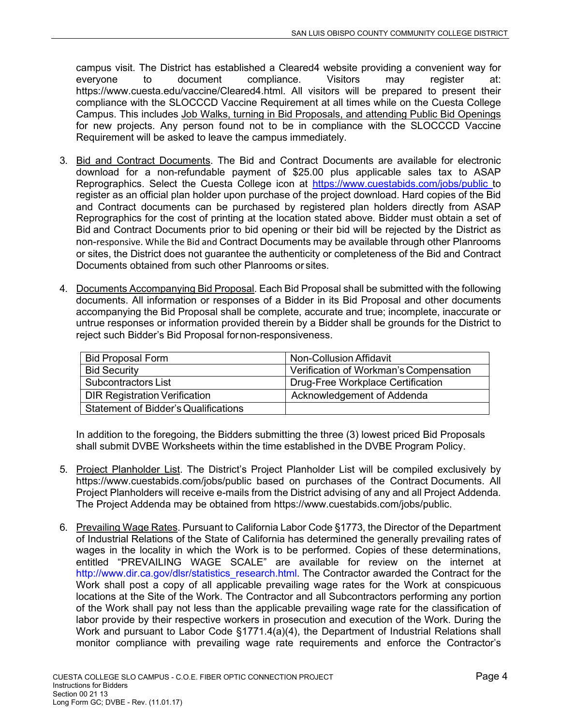campus visit. The District has established a Cleared4 website providing a convenient way for everyone to document compliance. Visitors may register at: https://www.cuesta.edu/vaccine/Cleared4.html. All visitors will be prepared to present their compliance with the SLOCCCD Vaccine Requirement at all times while on the Cuesta College Campus. This includes Job Walks, turning in Bid Proposals, and attending Public Bid Openings for new projects. Any person found not to be in compliance with the SLOCCCD Vaccine Requirement will be asked to leave the campus immediately.

- 3. Bid and Contract Documents. The Bid and Contract Documents are available for electronic download for a non-refundable payment of \$25.00 plus applicable sales tax to ASAP Reprographics. Select the Cuesta College icon at https://www.cuestabids.com/jobs/public to register as an official plan holder upon purchase of the project download. Hard copies of the Bid and Contract documents can be purchased by registered plan holders directly from ASAP Reprographics for the cost of printing at the location stated above. Bidder must obtain a set of Bid and Contract Documents prior to bid opening or their bid will be rejected by the District as non-responsive. While the Bid and Contract Documents may be available through other Planrooms or sites, the District does not guarantee the authenticity or completeness of the Bid and Contract Documents obtained from such other Planrooms or sites.
- 4. Documents Accompanying Bid Proposal. Each Bid Proposal shall be submitted with the following documents. All information or responses of a Bidder in its Bid Proposal and other documents accompanying the Bid Proposal shall be complete, accurate and true; incomplete, inaccurate or untrue responses or information provided therein by a Bidder shall be grounds for the District to reject such Bidder's Bid Proposal for non-responsiveness.

| <b>Bid Proposal Form</b>                    | Non-Collusion Affidavit                |
|---------------------------------------------|----------------------------------------|
| <b>Bid Security</b>                         | Verification of Workman's Compensation |
| <b>Subcontractors List</b>                  | Drug-Free Workplace Certification      |
| <b>DIR Registration Verification</b>        | Acknowledgement of Addenda             |
| <b>Statement of Bidder's Qualifications</b> |                                        |

In addition to the foregoing, the Bidders submitting the three (3) lowest priced Bid Proposals shall submit DVBE Worksheets within the time established in the DVBE Program Policy.

- 5. Project Planholder List. The District's Project Planholder List will be compiled exclusively by https://www.cuestabids.com/jobs/public based on purchases of the Contract Documents. All Project Planholders will receive e-mails from the District advising of any and all Project Addenda. The Project Addenda may be obtained from https://www.cuestabids.com/jobs/public.
- 6. Prevailing Wage Rates. Pursuant to California Labor Code §1773, the Director of the Department of Industrial Relations of the State of California has determined the generally prevailing rates of wages in the locality in which the Work is to be performed. Copies of these determinations, entitled "PREVAILING WAGE SCALE" are available for review on the internet at http://www.dir.ca.gov/dlsr/statistics\_research.html. The Contractor awarded the Contract for the Work shall post a copy of all applicable prevailing wage rates for the Work at conspicuous locations at the Site of the Work. The Contractor and all Subcontractors performing any portion of the Work shall pay not less than the applicable prevailing wage rate for the classification of labor provide by their respective workers in prosecution and execution of the Work. During the Work and pursuant to Labor Code §1771.4(a)(4), the Department of Industrial Relations shall monitor compliance with prevailing wage rate requirements and enforce the Contractor's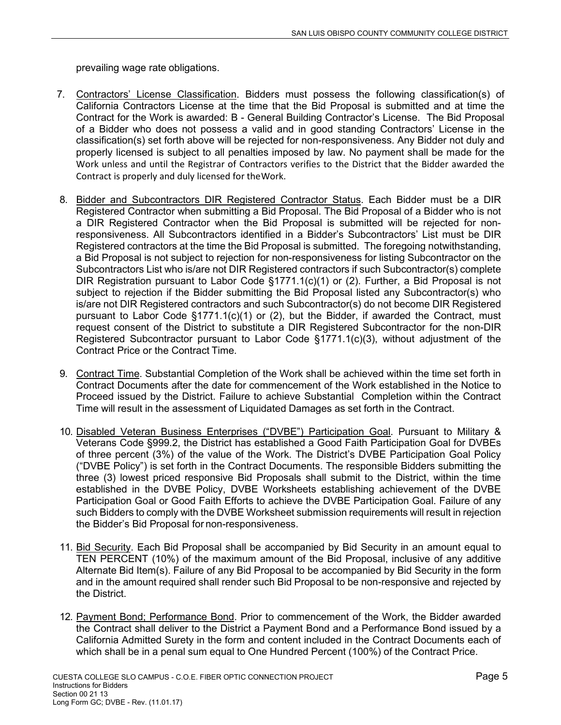prevailing wage rate obligations.

- 7. Contractors' License Classification. Bidders must possess the following classification(s) of California Contractors License at the time that the Bid Proposal is submitted and at time the Contract for the Work is awarded: B - General Building Contractor's License. The Bid Proposal of a Bidder who does not possess a valid and in good standing Contractors' License in the classification(s) set forth above will be rejected for non-responsiveness. Any Bidder not duly and properly licensed is subject to all penalties imposed by law. No payment shall be made for the Work unless and until the Registrar of Contractors verifies to the District that the Bidder awarded the Contract is properly and duly licensed for the Work.
- 8. Bidder and Subcontractors DIR Registered Contractor Status. Each Bidder must be a DIR Registered Contractor when submitting a Bid Proposal. The Bid Proposal of a Bidder who is not a DIR Registered Contractor when the Bid Proposal is submitted will be rejected for nonresponsiveness. All Subcontractors identified in a Bidder's Subcontractors' List must be DIR Registered contractors at the time the Bid Proposal is submitted. The foregoing notwithstanding, a Bid Proposal is not subject to rejection for non-responsiveness for listing Subcontractor on the Subcontractors List who is/are not DIR Registered contractors if such Subcontractor(s) complete DIR Registration pursuant to Labor Code  $\S 1771.1(c)(1)$  or (2). Further, a Bid Proposal is not subject to rejection if the Bidder submitting the Bid Proposal listed any Subcontractor(s) who is/are not DIR Registered contractors and such Subcontractor(s) do not become DIR Registered pursuant to Labor Code  $\S1771.1(c)(1)$  or (2), but the Bidder, if awarded the Contract, must request consent of the District to substitute a DIR Registered Subcontractor for the non-DIR Registered Subcontractor pursuant to Labor Code §1771.1(c)(3), without adjustment of the Contract Price or the Contract Time.
- 9. Contract Time. Substantial Completion of the Work shall be achieved within the time set forth in Contract Documents after the date for commencement of the Work established in the Notice to Proceed issued by the District. Failure to achieve Substantial Completion within the Contract Time will result in the assessment of Liquidated Damages as set forth in the Contract.
- 10. Disabled Veteran Business Enterprises ("DVBE") Participation Goal. Pursuant to Military & Veterans Code §999.2, the District has established a Good Faith Participation Goal for DVBEs of three percent (3%) of the value of the Work. The District's DVBE Participation Goal Policy ("DVBE Policy") is set forth in the Contract Documents. The responsible Bidders submitting the three (3) lowest priced responsive Bid Proposals shall submit to the District, within the time established in the DVBE Policy, DVBE Worksheets establishing achievement of the DVBE Participation Goal or Good Faith Efforts to achieve the DVBE Participation Goal. Failure of any such Bidders to comply with the DVBE Worksheet submission requirements will result in rejection the Bidder's Bid Proposal for non-responsiveness.
- 11. Bid Security. Each Bid Proposal shall be accompanied by Bid Security in an amount equal to TEN PERCENT (10%) of the maximum amount of the Bid Proposal, inclusive of any additive Alternate Bid Item(s). Failure of any Bid Proposal to be accompanied by Bid Security in the form and in the amount required shall render such Bid Proposal to be non-responsive and rejected by the District.
- 12. Payment Bond; Performance Bond. Prior to commencement of the Work, the Bidder awarded the Contract shall deliver to the District a Payment Bond and a Performance Bond issued by a California Admitted Surety in the form and content included in the Contract Documents each of which shall be in a penal sum equal to One Hundred Percent (100%) of the Contract Price.